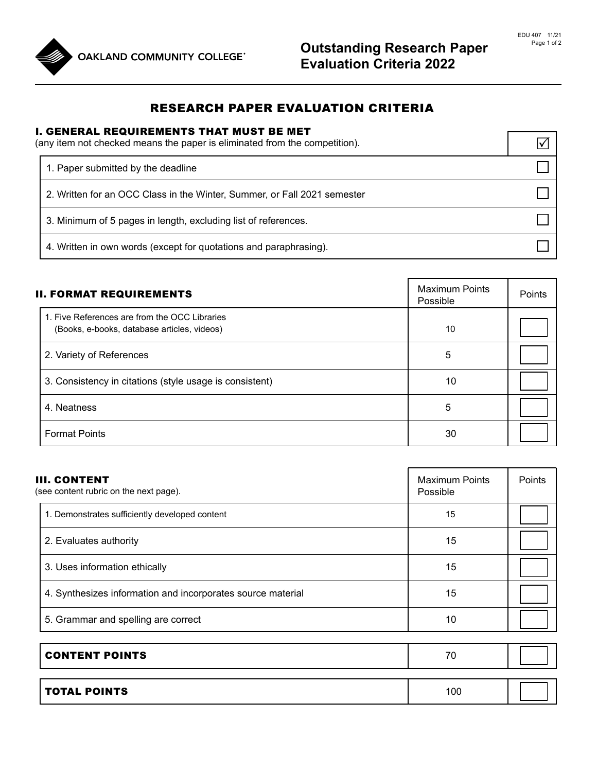

## RESEARCH PAPER EVALUATION CRITERIA

## I. GENERAL REQUIREMENTS THAT MUST BE MET

| (any item not checked means the paper is eliminated from the competition). |  |
|----------------------------------------------------------------------------|--|
| 1. Paper submitted by the deadline                                         |  |
| 2. Written for an OCC Class in the Winter, Summer, or Fall 2021 semester   |  |
| 3. Minimum of 5 pages in length, excluding list of references.             |  |
| 4. Written in own words (except for quotations and paraphrasing).          |  |

| <b>II. FORMAT REQUIREMENTS</b>                                                               | <b>Maximum Points</b><br>Possible | Points |
|----------------------------------------------------------------------------------------------|-----------------------------------|--------|
| 1. Five References are from the OCC Libraries<br>(Books, e-books, database articles, videos) | 10                                |        |
| 2. Variety of References                                                                     | 5                                 |        |
| 3. Consistency in citations (style usage is consistent)                                      | 10                                |        |
| 4. Neatness                                                                                  | 5                                 |        |
| <b>Format Points</b>                                                                         | 30                                |        |

| <b>III. CONTENT</b><br>(see content rubric on the next page). | <b>Maximum Points</b><br>Possible | Points |
|---------------------------------------------------------------|-----------------------------------|--------|
| 1. Demonstrates sufficiently developed content                | 15                                |        |
| 2. Evaluates authority                                        | 15                                |        |
| 3. Uses information ethically                                 | 15                                |        |
| 4. Synthesizes information and incorporates source material   | 15                                |        |
| 5. Grammar and spelling are correct                           | 10                                |        |

| <b>CONTENT POINTS</b> | 70  |  |
|-----------------------|-----|--|
|                       |     |  |
| <b>TOTAL POINTS</b>   | 100 |  |

┑